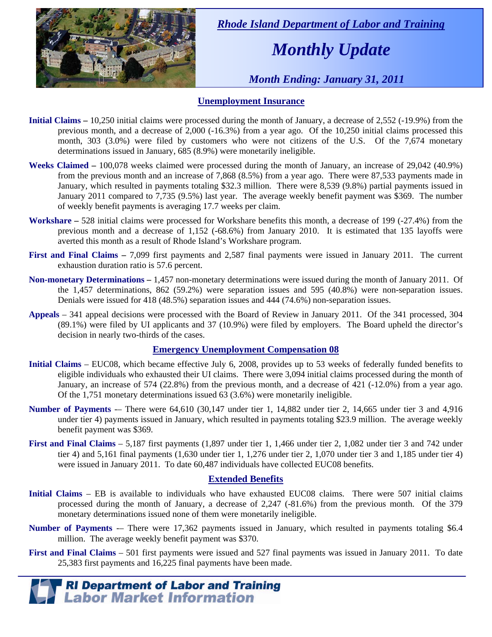

 *Rhode Island Department of Labor and Training* 

# *Monthly Update*

 *Month Ending: January 31, 2011* 

### **Unemployment Insurance**

- **Initial Claims** 10,250 initial claims were processed during the month of January, a decrease of 2,552 (-19.9%) from the previous month, and a decrease of 2,000 (-16.3%) from a year ago. Of the 10,250 initial claims processed this month, 303 (3.0%) were filed by customers who were not citizens of the U.S. Of the 7,674 monetary determinations issued in January, 685 (8.9%) were monetarily ineligible.
- **Weeks Claimed** 100,078 weeks claimed were processed during the month of January, an increase of 29,042 (40.9%) from the previous month and an increase of 7,868 (8.5%) from a year ago. There were 87,533 payments made in January, which resulted in payments totaling \$32.3 million. There were 8,539 (9.8%) partial payments issued in January 2011 compared to 7,735 (9.5%) last year. The average weekly benefit payment was \$369. The number of weekly benefit payments is averaging 17.7 weeks per claim.
- **Workshare –** 528 initial claims were processed for Workshare benefits this month, a decrease of 199 (-27.4%) from the previous month and a decrease of 1,152 (-68.6%) from January 2010. It is estimated that 135 layoffs were averted this month as a result of Rhode Island's Workshare program.
- **First and Final Claims –** 7,099 first payments and 2,587 final payments were issued in January 2011. The current exhaustion duration ratio is 57.6 percent.
- **Non-monetary Determinations –** 1,457 non-monetary determinations were issued during the month of January 2011. Of the 1,457 determinations, 862 (59.2%) were separation issues and 595 (40.8%) were non-separation issues. Denials were issued for 418 (48.5%) separation issues and 444 (74.6%) non-separation issues.
- **Appeals** 341 appeal decisions were processed with the Board of Review in January 2011. Of the 341 processed, 304 (89.1%) were filed by UI applicants and 37 (10.9%) were filed by employers. The Board upheld the director's decision in nearly two-thirds of the cases.

#### **Emergency Unemployment Compensation 08**

- **Initial Claims**  EUC08, which became effective July 6, 2008, provides up to 53 weeks of federally funded benefits to eligible individuals who exhausted their UI claims. There were 3,094 initial claims processed during the month of January, an increase of 574 (22.8%) from the previous month, and a decrease of 421 (-12.0%) from a year ago. Of the 1,751 monetary determinations issued  $6\overline{3}$  (3.6%) were monetarily ineligible.
- **Number of Payments** -– There were 64,610 (30,147 under tier 1, 14,882 under tier 2, 14,665 under tier 3 and 4,916 under tier 4) payments issued in January, which resulted in payments totaling \$23.9 million. The average weekly benefit payment was \$369.
- **First and Final Claims**  5,187 first payments (1,897 under tier 1, 1,466 under tier 2, 1,082 under tier 3 and 742 under tier 4) and 5,161 final payments (1,630 under tier 1, 1,276 under tier 2, 1,070 under tier 3 and 1,185 under tier 4) were issued in January 2011. To date 60,487 individuals have collected EUC08 benefits.

#### **Extended Benefits**

- **Initial Claims**  EB is available to individuals who have exhausted EUC08 claims. There were 507 initial claims processed during the month of January, a decrease of 2,247 (-81.6%) from the previous month. Of the 379 monetary determinations issued none of them were monetarily ineligible.
- **Number of Payments** -- There were 17,362 payments issued in January, which resulted in payments totaling \$6.4 million. The average weekly benefit payment was \$370.
- **First and Final Claims**  501 first payments were issued and 527 final payments was issued in January 2011. To date 25,383 first payments and 16,225 final payments have been made.

**FRI Department of Labor and Training<br>
<b>Labor Market Information**